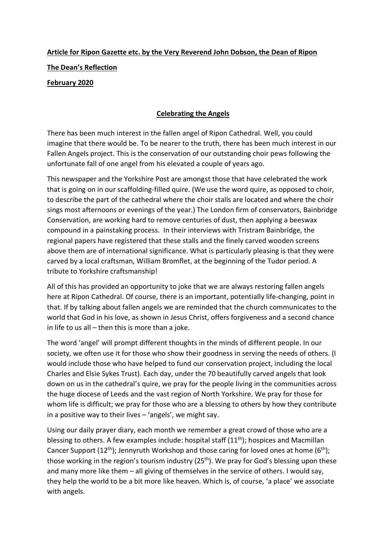## **Article for Ripon Gazette etc. by the Very Reverend John Dobson, the Dean of Ripon The Dean's Reflection**

## **February 2020**

## **Celebrating the Angels**

There has been much interest in the fallen angel of Ripon Cathedral. Well, you could imagine that there would be. To be nearer to the truth, there has been much interest in our Fallen Angels project. This is the conservation of our outstanding choir pews following the unfortunate fall of one angel from his elevated a couple of years ago.

This newspaper and the Yorkshire Post are amongst those that have celebrated the work that is going on in our scaffolding-filled quire. (We use the word quire, as opposed to choir, to describe the part of the cathedral where the choir stalls are located and where the choir sings most afternoons or evenings of the year.) The London firm of conservators, Bainbridge Conservation, are working hard to remove centuries of dust, then applying a beeswax compound in a painstaking process. In their interviews with Tristram Bainbridge, the regional papers have registered that these stalls and the finely carved wooden screens above them are of international significance. What is particularly pleasing is that they were carved by a local craftsman, William Bromflet, at the beginning of the Tudor period. A tribute to Yorkshire craftsmanship!

All of this has provided an opportunity to joke that we are always restoring fallen angels here at Ripon Cathedral. Of course, there is an important, potentially life-changing, point in that. If by talking about fallen angels we are reminded that the church communicates to the world that God in his love, as shown in Jesus Christ, offers forgiveness and a second chance in life to us all  $-$  then this is more than a joke.

The word 'angel' will prompt different thoughts in the minds of different people. In our society, we often use it for those who show their goodness in serving the needs of others. (I would include those who have helped to fund our conservation project, including the local Charles and Elsie Sykes Trust). Each day, under the 70 beautifully carved angels that look down on us in the cathedral's quire, we pray for the people living in the communities across the huge diocese of Leeds and the vast region of North Yorkshire. We pray for those for whom life is difficult; we pray for those who are a blessing to others by how they contribute in a positive way to their lives – 'angels', we might say.

Using our daily prayer diary, each month we remember a great crowd of those who are a blessing to others. A few examples include: hospital staff  $(11<sup>th</sup>)$ ; hospices and Macmillan Cancer Support (12<sup>th</sup>); Jennyruth Workshop and those caring for loved ones at home (6<sup>th</sup>); those working in the region's tourism industry (25<sup>th</sup>). We pray for God's blessing upon these and many more like them – all giving of themselves in the service of others. I would say, they help the world to be a bit more like heaven. Which is, of course, 'a place' we associate with angels.